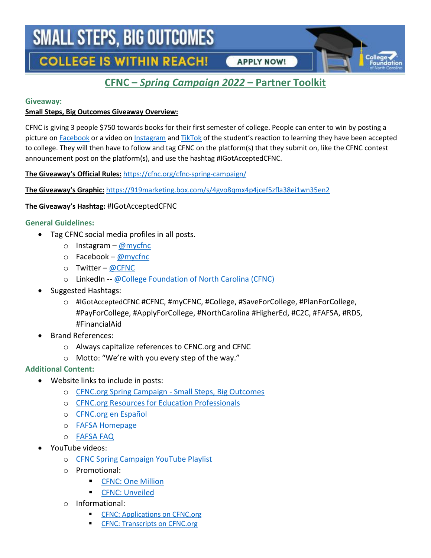# **SMALL STEPS, BIG OUTCOMES**

**COLLEGE IS WITHIN REACH!** 

### **APPLY NOW!**

### **CFNC –** *Spring Campaign 2022* **– Partner Toolkit**

#### **Giveaway:**

#### **Small Steps, Big Outcomes Giveaway Overview:**

CFNC is giving 3 people \$750 towards books for their first semester of college. People can enter to win by posting a picture on [Facebook](https://www.facebook.com/mycfnc) or a video o[n Instagram](https://www.instagram.com/mycfnc/) and [TikTok](https://www.tiktok.com/@college_foundation_nc) of the student's reaction to learning they have been accepted to college. They will then have to follow and tag CFNC on the platform(s) that they submit on, like the CFNC contest announcement post on the platform(s), and use the hashtag #IGotAcceptedCFNC.

**The Giveaway's Official Rules:** <https://cfnc.org/cfnc-spring-campaign/>

**The Giveaway's Graphic:** <https://919marketing.box.com/s/4gvo8qmx4p4jcef5zfla38ei1wn35en2>

### **The Giveaway's Hashtag:** #IGotAcceptedCFNC

### **General Guidelines:**

- Tag CFNC social media profiles in all posts.
	- o Instagram [@mycfnc](https://www.instagram.com/mycfnc)
	- $\circ$  Facebook [@mycfnc](https://www.facebook.com/mycfnc)
	- o Twitter [@CFNC](https://twitter.com/CFNC)
	- o LinkedIn -- [@College Foundation of North Carolina \(CFNC\)](https://www.linkedin.com/showcase/college-foundation-of-north-carolina-cfnc)
- Suggested Hashtags:
	- o #IGotAcceptedCFNC #CFNC, #myCFNC, #College, #SaveForCollege, #PlanForCollege, #PayForCollege, #ApplyForCollege, #NorthCarolina #HigherEd, #C2C, #FAFSA, #RDS, #FinancialAid
- Brand References:
	- o Always capitalize references to CFNC.org and CFNC
	- o Motto: "We're with you every step of the way."

### **Additional Content:**

- Website links to include in posts:
	- o [CFNC.org Spring Campaign -](https://www.cfnc.org/apply-to-college/small-steps-big-outcomes/) Small Steps, Big Outcomes
	- o [CFNC.org Resources for Education Professionals](https://www.cfnc.org/education-professionals/)
	- o [CFNC.org en Español](https://www.cfnc.org/en-espanol/)
	- o [FAFSA Homepage](https://studentaid.gov/h/apply-for-aid/fafsa)
	- o [FAFSA FAQ](https://studentaid.gov/apply-for-aid/fafsa/filling-out/help)
- YouTube videos:
	- o [CFNC](https://youtube.com/playlist?list=PLiFGBEf0h3BDb8zEvfxonCUWsVPvIbs_R) Spring Campaign YouTube Playlist
	- o Promotional:
		- [CFNC: One Million](https://youtu.be/cgIaoGLEQmg)
		- **[CFNC: Unveiled](https://youtu.be/kh_VsZye9dw)**
	- o Informational:
		- [CFNC: Applications on CFNC.org](https://youtu.be/xhwL_Se8NZc)
		- [CFNC: Transcripts on CFNC.org](https://youtu.be/wVLGcUPAjvY)